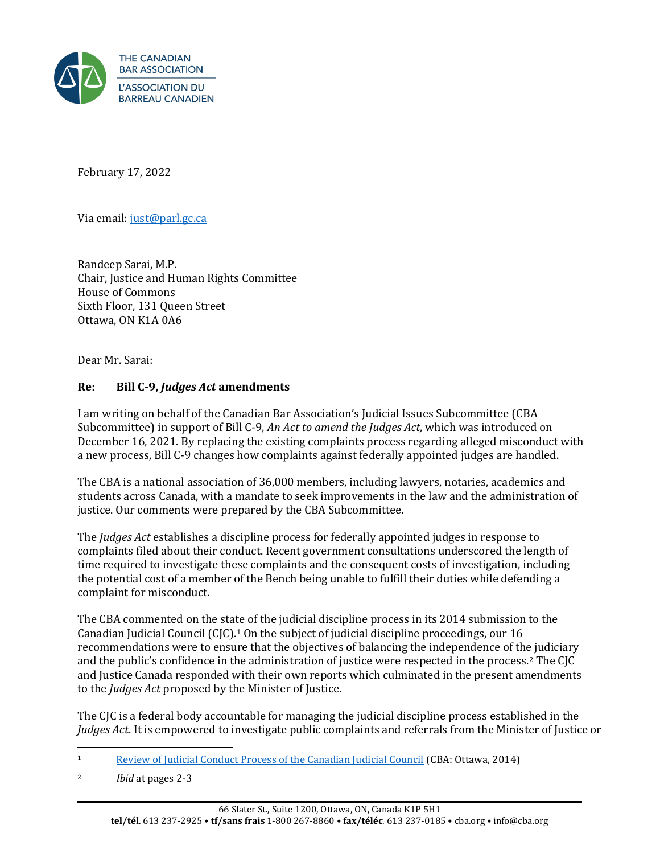

February 17, 2022

Via email[: just@parl.gc.ca](mailto:just@parl.gc.ca)

Randeep Sarai, M.P. Chair, Justice and Human Rights Committee House of Commons Sixth Floor, 131 Queen Street Ottawa, ON K1A 0A6

Dear Mr. Sarai:

## **Re: Bill C-9,** *Judges Act* **amendments**

I am writing on behalf of the Canadian Bar Association's Judicial Issues Subcommittee (CBA Subcommittee) in support of Bill C-9, *An Act to amend the Judges Act,* which was introduced on December 16, 2021. By replacing the existing complaints process regarding alleged misconduct with a new process, Bill C-9 changes how complaints against federally appointed judges are handled.

The CBA is a national association of 36,000 members, including lawyers, notaries, academics and students across Canada, with a mandate to seek improvements in the law and the administration of justice. Our comments were prepared by the CBA Subcommittee.

The *Judges Act* establishes a discipline process for federally appointed judges in response to complaints filed about their conduct. Recent government consultations underscored the length of time required to investigate these complaints and the consequent costs of investigation, including the potential cost of a member of the Bench being unable to fulfill their duties while defending a complaint for misconduct.

The CBA commented on the state of the judicial discipline process in its 2014 submission to the Canadian Judicial Council (CJC).<sup>1</sup> On the subject of judicial discipline proceedings, our 16 recommendations were to ensure that the objectives of balancing the independence of the judiciary and the public's confidence in the administration of justice were respected in the process.2 The CJC and Justice Canada responded with their own reports which culminated in the present amendments to the *Judges Act* proposed by the Minister of Justice.

The CJC is a federal body accountable for managing the judicial discipline process established in the *Judges Act*. It is empowered to investigate public complaints and referrals from the Minister of Justice or

<sup>1</sup> [Review of Judicial Conduct Process of the Canadian Judicial Council](https://www.cba.org/CMSPages/GetFile.aspx?guid=ec8da6a0-bb42-4de0-9bbc-2d228b1ccc9a) (CBA: Ottawa, 2014)

<sup>2</sup> *Ibid* at pages 2-3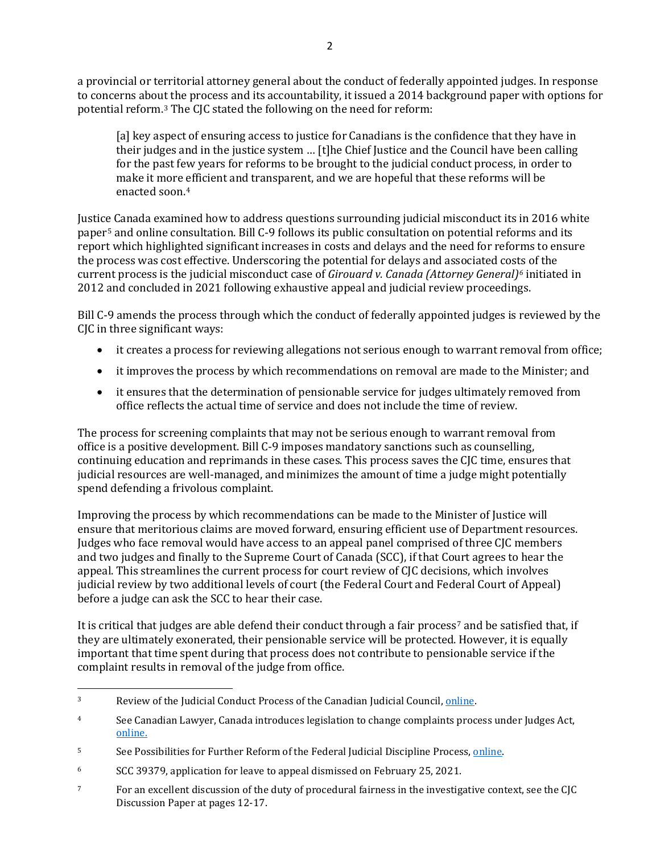a provincial or territorial attorney general about the conduct of federally appointed judges. In response to concerns about the process and its accountability, it issued a 2014 background paper with options for potential reform.3 The CJC stated the following on the need for reform:

[a] key aspect of ensuring access to justice for Canadians is the confidence that they have in their judges and in the justice system … [t]he Chief Justice and the Council have been calling for the past few years for reforms to be brought to the judicial conduct process, in order to make it more efficient and transparent, and we are hopeful that these reforms will be enacted soon.4

Justice Canada examined how to address questions surrounding judicial misconduct its in 2016 white paper5 and online consultation. Bill C-9 follows its public consultation on potential reforms and its report which highlighted significant increases in costs and delays and the need for reforms to ensure the process was cost effective. Underscoring the potential for delays and associated costs of the current process is the judicial misconduct case of *Girouard v. Canada (Attorney General)6* initiated in 2012 and concluded in 2021 following exhaustive appeal and judicial review proceedings.

Bill C-9 amends the process through which the conduct of federally appointed judges is reviewed by the CJC in three significant ways:

- it creates a process for reviewing allegations not serious enough to warrant removal from office;
- it improves the process by which recommendations on removal are made to the Minister; and
- it ensures that the determination of pensionable service for judges ultimately removed from office reflects the actual time of service and does not include the time of review.

The process for screening complaints that may not be serious enough to warrant removal from office is a positive development. Bill C-9 imposes mandatory sanctions such as counselling, continuing education and reprimands in these cases. This process saves the CJC time, ensures that judicial resources are well-managed, and minimizes the amount of time a judge might potentially spend defending a frivolous complaint.

Improving the process by which recommendations can be made to the Minister of Justice will ensure that meritorious claims are moved forward, ensuring efficient use of Department resources. Judges who face removal would have access to an appeal panel comprised of three CJC members and two judges and finally to the Supreme Court of Canada (SCC), if that Court agrees to hear the appeal. This streamlines the current process for court review of CJC decisions, which involves judicial review by two additional levels of court (the Federal Court and Federal Court of Appeal) before a judge can ask the SCC to hear their case.

It is critical that judges are able defend their conduct through a fair process<sup>7</sup> and be satisfied that, if they are ultimately exonerated, their pensionable service will be protected. However, it is equally important that time spent during that process does not contribute to pensionable service if the complaint results in removal of the judge from office.

<sup>3</sup> Review of the Judicial Conduct Process of the Canadian Judicial Council[, online.](https://cjc-ccm.ca/cmslib/general/CJC%20Background%20Paper%20on%20Judicial%20Conduct%202014-03.pdf)

<sup>4</sup> See Canadian Lawyer, Canada introduces legislation to change complaints process under Judges Act, [online.](https://www.canadianlawyermag.com/resources/professional-regulation/canada-introduces-legislation-to-change-complaints-process-under-judges-act/356727)

<sup>5</sup> See Possibilities for Further Reform of the Federal Judicial Discipline Process[, online.](https://www.justice.gc.ca/eng/cons/fjdp-pdmf/fjdp-pdmf.pdf)

<sup>6</sup> SCC 39379, application for leave to appeal dismissed on February 25, 2021.

<sup>7</sup> For an excellent discussion of the duty of procedural fairness in the investigative context, see the CJC Discussion Paper at pages 12-17.